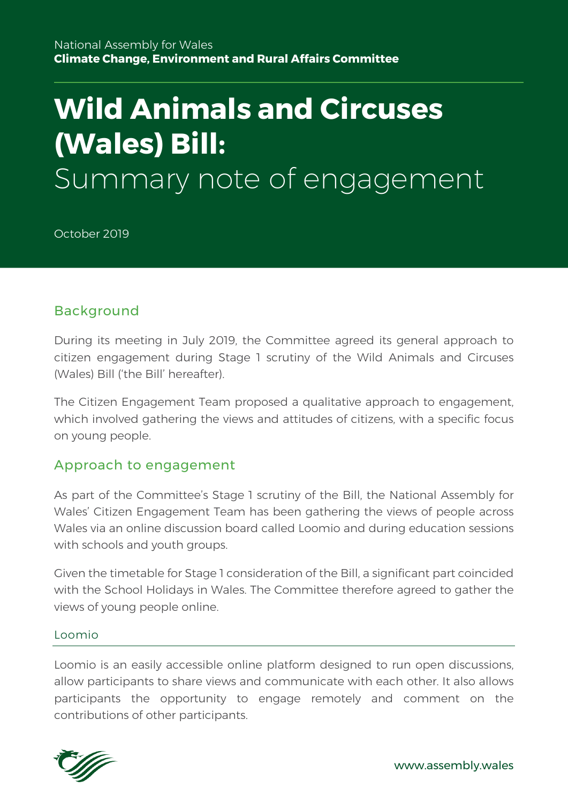# **Wild Animals and Circuses (Wales) Bill:** Summary note of engagement

October 2019

## Background

During its meeting in July 2019, the Committee agreed its general approach to citizen engagement during Stage 1 scrutiny of the Wild Animals and Circuses (Wales) Bill ('the Bill' hereafter).

The Citizen Engagement Team proposed a qualitative approach to engagement, which involved gathering the views and attitudes of citizens, with a specific focus on young people.

## Approach to engagement

As part of the Committee's Stage 1 scrutiny of the Bill, the National Assembly for Wales' Citizen Engagement Team has been gathering the views of people across Wales via an online discussion board called Loomio and during education sessions with schools and youth groups.

Given the timetable for Stage 1 consideration of the Bill, a significant part coincided with the School Holidays in Wales. The Committee therefore agreed to gather the views of young people online.

#### Loomio

Loomio is an easily accessible online platform designed to run open discussions, allow participants to share views and communicate with each other. It also allows participants the opportunity to engage remotely and comment on the contributions of other participants.

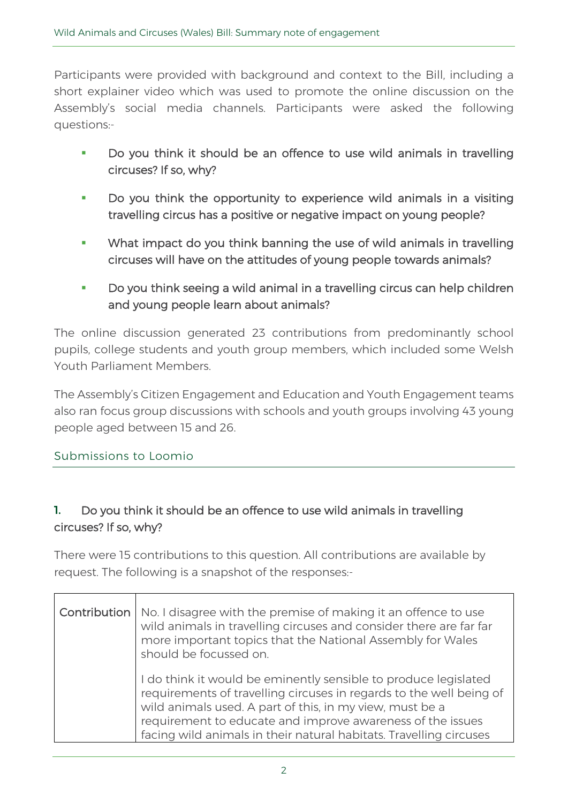Participants were provided with background and context to the Bill, including a short explainer video which was used to promote the online discussion on the Assembly's social media channels. Participants were asked the following questions:-

- **Do you think it should be an offence to use wild animals in travelling circuses? If so, why?**
- **Do you think the opportunity to experience wild animals in a visiting travelling circus has a positive or negative impact on young people?**
- **What impact do you think banning the use of wild animals in travelling circuses will have on the attitudes of young people towards animals?**
- **Do you think seeing a wild animal in a travelling circus can help children and young people learn about animals?**

The online discussion generated 23 contributions from predominantly school pupils, college students and youth group members, which included some Welsh Youth Parliament Members.

The Assembly's Citizen Engagement and Education and Youth Engagement teams also ran focus group discussions with schools and youth groups involving 43 young people aged between 15 and 26.

### Submissions to Loomio

## 1. **Do you think it should be an offence to use wild animals in travelling circuses? If so, why?**

There were 15 contributions to this question. All contributions are available by request. The following is a snapshot of the responses:-

| <b>Contribution</b>   No. I disagree with the premise of making it an offence to use<br>wild animals in travelling circuses and consider there are far far<br>more important topics that the National Assembly for Wales<br>should be focussed on.                                                                                     |
|----------------------------------------------------------------------------------------------------------------------------------------------------------------------------------------------------------------------------------------------------------------------------------------------------------------------------------------|
| I do think it would be eminently sensible to produce legislated<br>requirements of travelling circuses in regards to the well being of<br>wild animals used. A part of this, in my view, must be a<br>requirement to educate and improve awareness of the issues<br>facing wild animals in their natural habitats. Travelling circuses |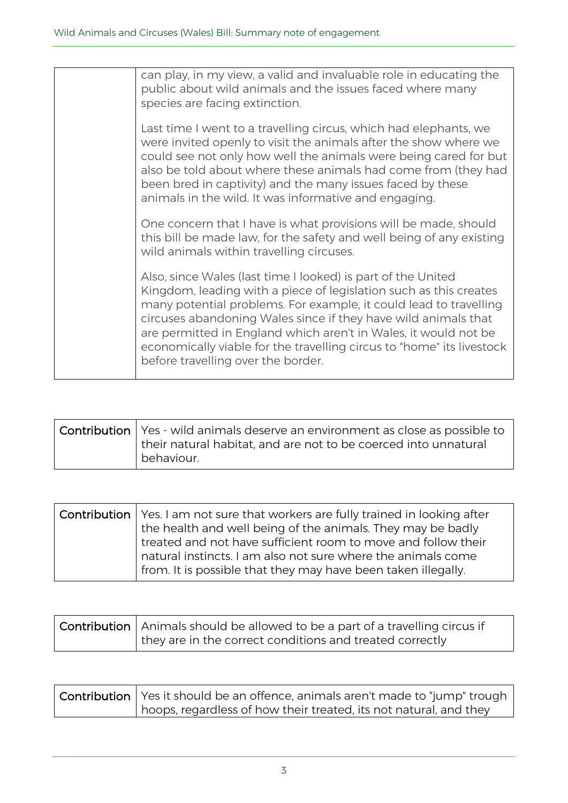| can play, in my view, a valid and invaluable role in educating the<br>public about wild animals and the issues faced where many<br>species are facing extinction.                                                                                                                                                                                                                                                                                          |
|------------------------------------------------------------------------------------------------------------------------------------------------------------------------------------------------------------------------------------------------------------------------------------------------------------------------------------------------------------------------------------------------------------------------------------------------------------|
| Last time I went to a travelling circus, which had elephants, we<br>were invited openly to visit the animals after the show where we<br>could see not only how well the animals were being cared for but<br>also be told about where these animals had come from (they had<br>been bred in captivity) and the many issues faced by these<br>animals in the wild. It was informative and engaging.                                                          |
| One concern that I have is what provisions will be made, should<br>this bill be made law, for the safety and well being of any existing<br>wild animals within travelling circuses.                                                                                                                                                                                                                                                                        |
| Also, since Wales (last time I looked) is part of the United<br>Kingdom, leading with a piece of legislation such as this creates<br>many potential problems. For example, it could lead to travelling<br>circuses abandoning Wales since if they have wild animals that<br>are permitted in England which aren't in Wales, it would not be<br>economically viable for the travelling circus to "home" its livestock<br>before travelling over the border. |

| $\vert$ Contribution $\vert$ Yes - wild animals deserve an environment as close as possible to<br>their natural habitat, and are not to be coerced into unnatural |
|-------------------------------------------------------------------------------------------------------------------------------------------------------------------|
| l behaviour.                                                                                                                                                      |

| <b>Contribution</b>   Yes. I am not sure that workers are fully trained in looking after<br>the health and well being of the animals. They may be badly<br>I treated and not have sufficient room to move and follow their |
|----------------------------------------------------------------------------------------------------------------------------------------------------------------------------------------------------------------------------|
| natural instincts. I am also not sure where the animals come<br>from. It is possible that they may have been taken illegally.                                                                                              |

| $\mid$ Contribution $\mid$ Animals should be allowed to be a part of a travelling circus if |
|---------------------------------------------------------------------------------------------|
| they are in the correct conditions and treated correctly                                    |

| <b>Contribution</b>   Yes it should be an offence, animals aren't made to "jump" trough |
|-----------------------------------------------------------------------------------------|
| hoops, regardless of how their treated, its not natural, and they                       |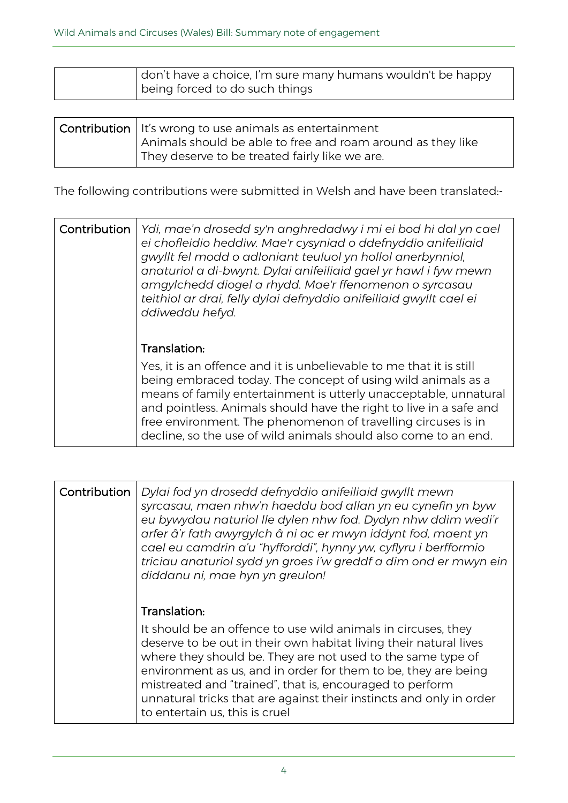| don't have a choice, I'm sure many humans wouldn't be happy |
|-------------------------------------------------------------|
| being forced to do such things                              |

| <b>Contribution</b> $\vert$ It's wrong to use animals as entertainment |
|------------------------------------------------------------------------|
| Animals should be able to free and roam around as they like            |
| I They deserve to be treated fairly like we are.                       |

The following contributions were submitted in Welsh and have been translated:-

| Contribution | Ydi, mae'n drosedd sy'n anghredadwy i mi ei bod hi dal yn cael<br>ei chofleidio heddiw. Mae'r cysyniad o ddefnyddio anifeiliaid<br>gwyllt fel modd o adloniant teuluol yn hollol anerbynniol,<br>anaturiol a di-bwynt. Dylai anifeiliaid gael yr hawl i fyw mewn<br>amgylchedd diogel a rhydd. Mae'r ffenomenon o syrcasau<br>teithiol ar drai, felly dylai defnyddio anifeiliaid gwyllt cael ei<br>ddiweddu hefyd.               |
|--------------|-----------------------------------------------------------------------------------------------------------------------------------------------------------------------------------------------------------------------------------------------------------------------------------------------------------------------------------------------------------------------------------------------------------------------------------|
|              | Translation:<br>Yes, it is an offence and it is unbelievable to me that it is still<br>being embraced today. The concept of using wild animals as a<br>means of family entertainment is utterly unacceptable, unnatural<br>and pointless. Animals should have the right to live in a safe and<br>free environment. The phenomenon of travelling circuses is in<br>decline, so the use of wild animals should also come to an end. |

| Contribution | Dylai fod yn drosedd defnyddio anifeiliaid gwyllt mewn<br>syrcasau, maen nhw'n haeddu bod allan yn eu cynefin yn byw<br>eu bywydau naturiol lle dylen nhw fod. Dydyn nhw ddim wedi'r<br>arfer â'r fath awyrgylch â ni ac er mwyn iddynt fod, maent yn<br>cael eu camdrin a'u "hyfforddi", hynny yw, cyflyru i berfformio<br>triciau anaturiol sydd yn groes i'w greddf a dim ond er mwyn ein<br>diddanu ni, mae hyn yn greulon!                          |
|--------------|----------------------------------------------------------------------------------------------------------------------------------------------------------------------------------------------------------------------------------------------------------------------------------------------------------------------------------------------------------------------------------------------------------------------------------------------------------|
|              | Translation:<br>It should be an offence to use wild animals in circuses, they<br>deserve to be out in their own habitat living their natural lives<br>where they should be. They are not used to the same type of<br>environment as us, and in order for them to be, they are being<br>mistreated and "trained", that is, encouraged to perform<br>unnatural tricks that are against their instincts and only in order<br>to entertain us, this is cruel |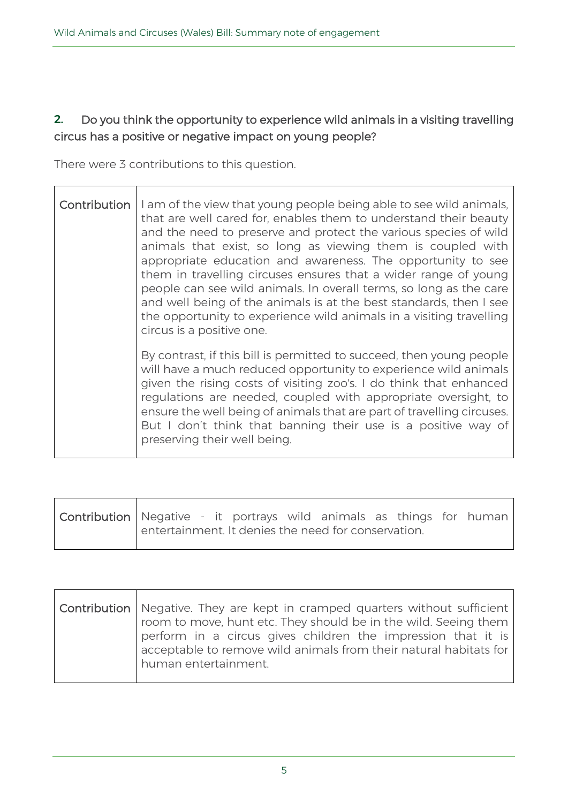## 2. **Do you think the opportunity to experience wild animals in a visiting travelling circus has a positive or negative impact on young people?**

There were 3 contributions to this question.

 $\top$ 

| Contribution | I am of the view that young people being able to see wild animals,<br>that are well cared for, enables them to understand their beauty<br>and the need to preserve and protect the various species of wild<br>animals that exist, so long as viewing them is coupled with<br>appropriate education and awareness. The opportunity to see<br>them in travelling circuses ensures that a wider range of young<br>people can see wild animals. In overall terms, so long as the care<br>and well being of the animals is at the best standards, then I see<br>the opportunity to experience wild animals in a visiting travelling<br>circus is a positive one. |
|--------------|-------------------------------------------------------------------------------------------------------------------------------------------------------------------------------------------------------------------------------------------------------------------------------------------------------------------------------------------------------------------------------------------------------------------------------------------------------------------------------------------------------------------------------------------------------------------------------------------------------------------------------------------------------------|
|              | By contrast, if this bill is permitted to succeed, then young people<br>will have a much reduced opportunity to experience wild animals<br>given the rising costs of visiting zoo's. I do think that enhanced<br>regulations are needed, coupled with appropriate oversight, to<br>ensure the well being of animals that are part of travelling circuses.<br>But I don't think that banning their use is a positive way of<br>preserving their well being.                                                                                                                                                                                                  |

| Contribution   Negative - it portrays wild animals as things for human |                                                     |  |  |  |  |
|------------------------------------------------------------------------|-----------------------------------------------------|--|--|--|--|
|                                                                        | entertainment. It denies the need for conservation. |  |  |  |  |

| <b>Contribution</b>   Negative. They are kept in cramped quarters without sufficient                                                                                                                 |
|------------------------------------------------------------------------------------------------------------------------------------------------------------------------------------------------------|
| room to move, hunt etc. They should be in the wild. Seeing them<br>perform in a circus gives children the impression that it is<br>acceptable to remove wild animals from their natural habitats for |
| human entertainment.                                                                                                                                                                                 |
|                                                                                                                                                                                                      |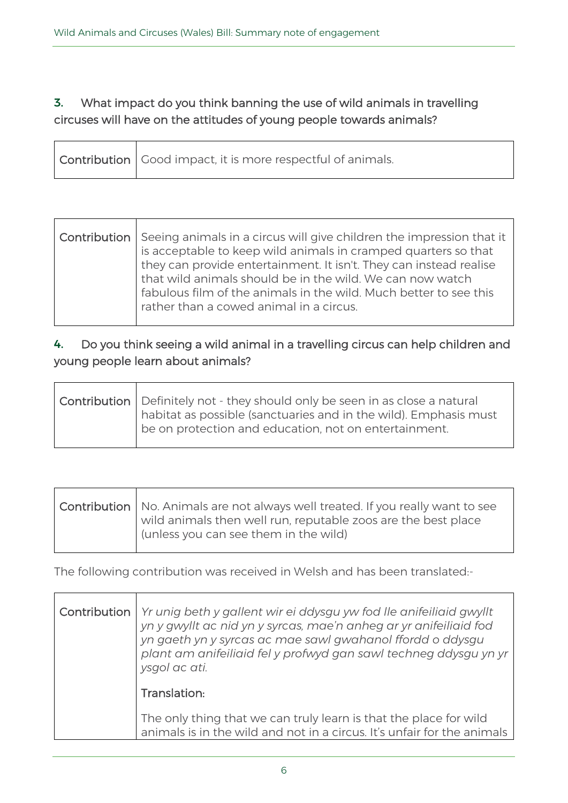## 3. **What impact do you think banning the use of wild animals in travelling circuses will have on the attitudes of young people towards animals?**

|  | <b>Contribution</b> Good impact, it is more respectful of animals. |
|--|--------------------------------------------------------------------|
|--|--------------------------------------------------------------------|

| Contribution   Seeing animals in a circus will give children the impression that it<br>is acceptable to keep wild animals in cramped quarters so that<br>they can provide entertainment. It isn't. They can instead realise<br>that wild animals should be in the wild. We can now watch<br>fabulous film of the animals in the wild. Much better to see this |
|---------------------------------------------------------------------------------------------------------------------------------------------------------------------------------------------------------------------------------------------------------------------------------------------------------------------------------------------------------------|
| rather than a cowed animal in a circus.                                                                                                                                                                                                                                                                                                                       |

## 4. **Do you think seeing a wild animal in a travelling circus can help children and young people learn about animals?**

| <b>Contribution</b> Definitely not - they should only be seen in as close a natural |
|-------------------------------------------------------------------------------------|
| habitat as possible (sanctuaries and in the wild). Emphasis must                    |
| be on protection and education, not on entertainment.                               |
|                                                                                     |

| $\vert$ Contribution $\vert$ No. Animals are not always well treated. If you really want to see<br>wild animals then well run, reputable zoos are the best place<br>(unless you can see them in the wild) |
|-----------------------------------------------------------------------------------------------------------------------------------------------------------------------------------------------------------|
|                                                                                                                                                                                                           |

The following contribution was received in Welsh and has been translated:-

| Contribution   Yr unig beth y gallent wir ei ddysgu yw fod lle anifeiliaid gwyllt<br>yn y gwyllt ac nid yn y syrcas, mae'n anheg ar yr anifeiliaid fod<br>yn gaeth yn y syrcas ac mae sawl gwahanol ffordd o ddysgu<br>plant am anifeiliaid fel y profwyd gan sawl techneg ddysgu yn yr<br>ysgol ac ati. |
|----------------------------------------------------------------------------------------------------------------------------------------------------------------------------------------------------------------------------------------------------------------------------------------------------------|
| Translation:                                                                                                                                                                                                                                                                                             |
| The only thing that we can truly learn is that the place for wild<br>animals is in the wild and not in a circus. It's unfair for the animals                                                                                                                                                             |